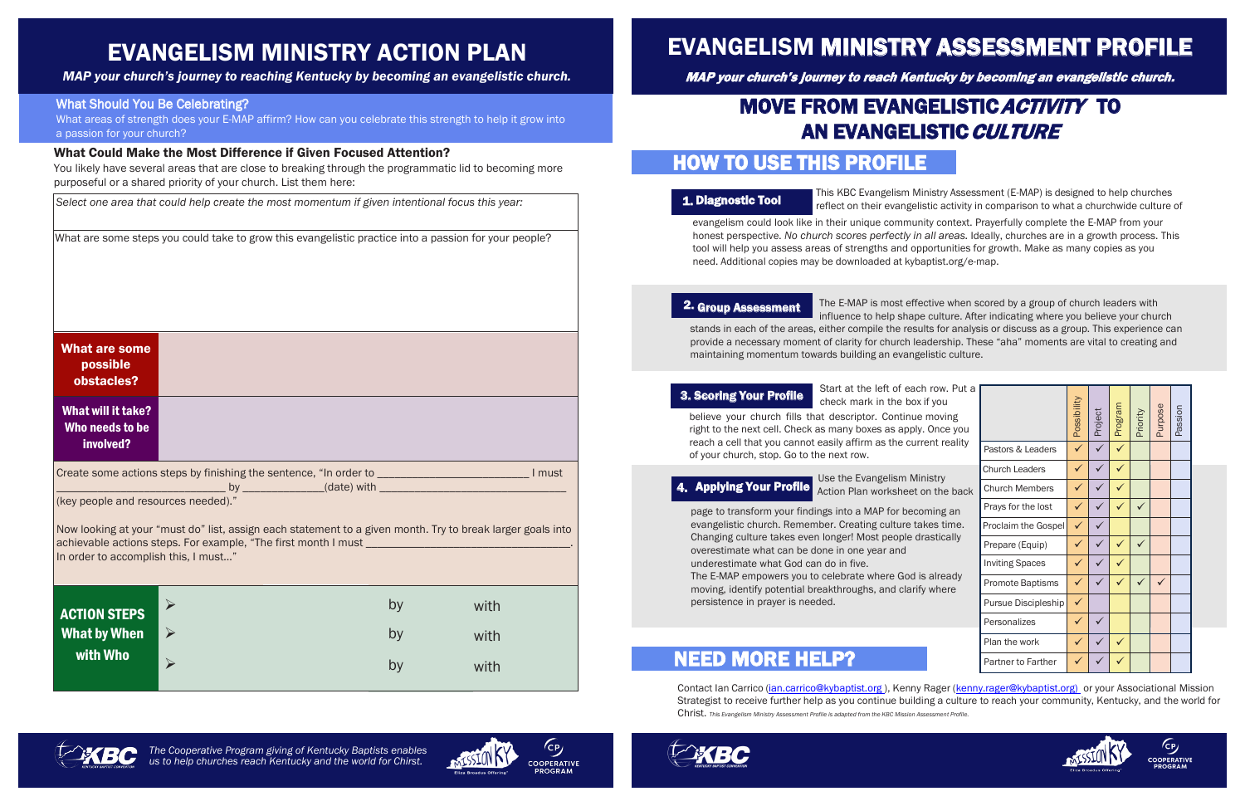#### What Should You Be Celebrating?

What areas of strength does your E-MAP affirm? How can you celebrate this strength to help it grow into a passion for your church?

# EVANGELISM MINISTRY ACTION PLAN

*MAP your church's journey to reaching Kentucky by becoming an evangelistic church.*

#### What Could Make the Most Difference if Given Focused Attention?

You likely have several areas that are close to breaking through the programmatic lid to becoming more purposeful or a shared priority of your church. List them here:

|                                                           |                       | Select one area that could help create the most momentum if given intentional focus this year:             |      |
|-----------------------------------------------------------|-----------------------|------------------------------------------------------------------------------------------------------------|------|
|                                                           |                       | What are some steps you could take to grow this evangelistic practice into a passion for your people?      |      |
| <b>What are some</b><br>possible<br>obstacles?            |                       |                                                                                                            |      |
| <b>What will it take?</b><br>Who needs to be<br>involved? |                       |                                                                                                            |      |
| (key people and resources needed)."                       |                       |                                                                                                            |      |
| In order to accomplish this, I must"                      |                       | Now looking at your "must do" list, assign each statement to a given month. Try to break larger goals into |      |
| <b>ACTION STEPS</b>                                       | $\blacktriangleright$ | by                                                                                                         | with |
| <b>What by When</b>                                       | $\blacktriangleright$ | by                                                                                                         | with |
| with Who                                                  | $\blacktriangleright$ | by                                                                                                         | with |

page to transform your findings into a MAP for be evangelistic church. Remember. Creating culture Changing culture takes even longer! Most people overestimate what can be done in one year and underestimate what God can do in five.

The E-MAP empowers you to celebrate where God moving, identify potential breakthroughs, and claring persistence in prayer is needed.





| <u>menti</u> | The E-MAP is r  |
|--------------|-----------------|
|              | influence to he |

believe your church fills that descriptor. Continu right to the next cell. Check as many boxes as apply reach a cell that you cannot easily affirm as the current reality of your church, stop. Go to the next row.

Contact Ian Carrico (*ian.carrico@kybaptist.org*), Kenny Rager (*kenny.rager@kybaptist.org*) or your Associational Mission Strategist to receive further help as you continue building a culture to reach your community, Kentucky, and the world for Christ. *This Evangelism Ministry Assessment Profile is adapted from the KBC Mission Assessment Profile.*



stands in each of the areas, either compile the results for analysis or discuss as a group. This experience can provide a necessary moment of clarity for church leadership. These "aha" moments are vital to creating and maintaining momentum towards building an evangelistic culture. 2. Group Asses

### 4. Applying Your Profile

Use the Evangelism N Action Plan workshee

#### 1. Diagnostic Tool

## MOVE FROM EVANGELISTIC ACTIVITY TO AN EVANGELISTIC CULTURE

### HOW TO USE THIS PROFILE

This KBC Evangelism Ministry Assessment (E-MAP) is designed to help churches reflect on their evangelistic activity in comparison to what a churchwide culture of

evangelism could look like in their unique community context. Prayerfully complete the E-MAP from your honest perspective. *No church scores perfectly in all areas.* Ideally, churches are in a growth process. This tool will help you assess areas of strengths and opportunities for growth. Make as many copies as you need. Additional copies may be downloaded at kybaptist.org/e-map.

most effective when scored by a group of church leaders with elp shape culture. After indicating where you believe your church

### NEED MORE HELP?

# EVANGELISM MINISTRY ASSESSMENT PROFILE

MAP your church's journey to reach Kentucky by becoming an evangelistic church.

#### 3. Scoring Your Profile

Start at the left of ea check mark in the box

| ich row. Put a<br>x if you<br>e moving<br>ly. Once you |                           | Possibility  | Project | Program      | Priority | Purpose | Passion |  |
|--------------------------------------------------------|---------------------------|--------------|---------|--------------|----------|---------|---------|--|
| urrent reality                                         | Pastors & Leaders         | $\checkmark$ | ✓       | ✓            |          |         |         |  |
| <i>Ainistry</i>                                        | <b>Church Leaders</b>     |              | ✓       | ✓            |          |         |         |  |
| t on the back                                          | <b>Church Members</b>     |              |         |              |          |         |         |  |
| coming an                                              | Prays for the lost        |              |         |              |          |         |         |  |
| takes time.                                            | Proclaim the Gospel       |              |         |              |          |         |         |  |
| drastically                                            | Prepare (Equip)           | $\checkmark$ |         | ✓            |          |         |         |  |
|                                                        | <b>Inviting Spaces</b>    |              |         |              |          |         |         |  |
| I is already<br>ify where                              | Promote Baptisms          | $\checkmark$ |         | ✓            |          | ✓       |         |  |
|                                                        | Pursue Discipleship       | ✓            |         |              |          |         |         |  |
|                                                        | Personalizes              |              | ✓       |              |          |         |         |  |
|                                                        | Plan the work             |              | ✓       | $\checkmark$ |          |         |         |  |
|                                                        | <b>Partner to Farther</b> |              |         |              |          |         |         |  |
|                                                        |                           |              |         |              |          |         |         |  |